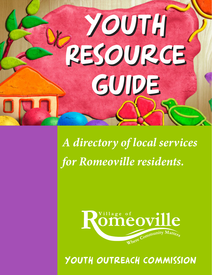

*A directory of local services for Romeoville residents.*



YOUTH OUTREACH COMMISSION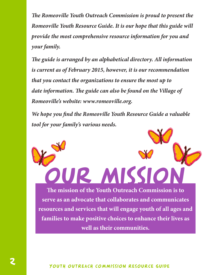*The Romeoville Youth Outreach Commission is proud to present the Romeoville Youth Resource Guide. It is our hope that this guide will provide the most comprehensive resource information for you and your family.*

*The guide is arranged by an alphabetical directory. All information is current as of February 2015, however, it is our recommendation that you contact the organizations to ensure the most up to date information. The guide can also be found on the Village of Romeoville's website: www.romeoville.org.*

*We hope you find the Romeoville Youth Resource Guide a valuable tool for your family's various needs.*

**The mission of the Youth Outreach Commission is to serve as an advocate that collaborates and communicates resources and services that will engage youth of all ages and families to make positive choices to enhance their lives as well as their communities.**

our MISSIO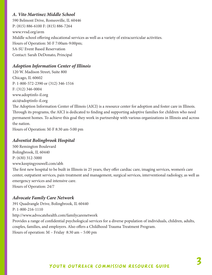# *A. Vito Martinez Middle School*

590 Belmont Drive, Romeoville, IL 60446 P: (815) 886-6100 F: (815) 886-7264 www.vvsd.org/avm Middle school offering educational services as well as a variety of extracurricular activities. Hours of Operation: M-F 7:00am-9:00pm; SA-SU Event Based Reservation Contact: Sarah DeDonato, Principal

# *Adoption Information Center of Illinois*

120 W. Madison Street, Suite 800 Chicago, IL 60602 P: 1-800-572-2390 or (312) 346-1516 F: (312) 346-0004 www.adoptinfo-il.org aici@adoptinfo-il.org

The Adoption Information Center of Illinois (AICI) is a resource center for adoption and foster care in Illinois. Through its programs, the AICI is dedicated to finding and supporting adoptive families for children who need permanent homes. To achieve this goal they work in partnership with various organizations in Illinois and across the nation.

Hours of Operation: M-F 8:30 am-5:00 pm

#### *Adventist Bolingbrook Hospital*

500 Remington Boulevard Bolingbrook, IL 60440 P: (630) 312-5000 www.keepingyouwell.com/abh

The first new hospital to be built in Illinois in 25 years, they offer cardiac care, imaging services, women's care center, outpatient services, pain treatment and management, surgical services, interventional radiology, as well as emergency services and intensive care. Hours of Operation: 24/7

#### *Advocate Family Care Network*

391 Quadrangle Drive, Bolingbrook, IL 60440 P: 1-800-216-1110 http://www.advocatehealth.com/familycarenetwork Provides a range of confidential psychological services for a diverse population of individuals, children, adults, couples, families, and employers. Also offers a Childhood Trauma Treatment Program. Hours of operation: M – Friday 8:30 am – 5:00 pm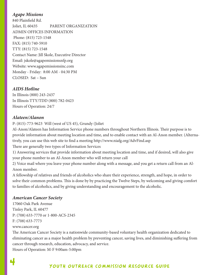# *Agape Missions*

840 Plainfield Rd. Joliet, IL 60435 PARENT ORGANIZATION ADMIN OFFICES INFORMATION Phone: (815) 723-1548 FAX: (815) 740-5910 TTY: (815) 723-1548 Contact Name: Jill Skole, Executive Director Email: jskole@agapemissionsnfp.org Website: www.agapemissionsinc.com Monday - Friday: 8:00 AM - 04:30 PM CLOSED: Sat – Sun

#### *AIDS Hotline*

In Illinois (800) 243-2437 In Illinois TTY/TDD (800) 782-0423 Hours of Operation: 24/7

# *Alateen/Alanon*

P: (815)-773-9623 Will (west of US 45), Grundy (Joliet

Al-Anon/Alateen has Information Service phone numbers throughout Northern Illinois. Their purpose is to provide information about meeting location and time, and to enable contact with an Al-Anon member. (Alternatively, you can use this web site to find a meeting http://www.niafg.org/AdvFind.asp There are generally two types of Information Services

1) Answering services that provide information about meeting location and time, and if desired, will also give your phone number to an Al-Anon member who will return your call

2) Voice mail where you leave your phone number along with a message, and you get a return call from an Al-Anon member.

A fellowship of relatives and friends of alcoholics who share their experience, strength, and hope, in order to solve their common problems. This is done by by practicing the Twelve Steps, by welcoming and giving comfort to families of alcoholics, and by giving understanding and encouragement to the alcoholic.

# *American Cancer Society*

17060 Oak Park Avenue Tinley Park, IL 60477 P: (708) 633-7770 or 1-800-ACS-2345 F: (708) 633-7773

#### www.cancer.org

The American Cancer Society is a nationwide community-based voluntary health organization dedicated to eliminating cancer as a major health problem by preventing cancer, saving lives, and diminishing suffering from cancer through research, education, advocacy, and service.

Hours of Operation: M-F 9:00am-5:00pm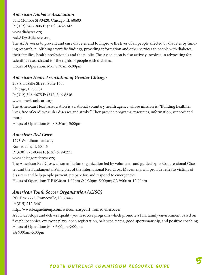#### *American Diabetes Association*

55 E Monroe St #3420, Chicago, IL 60603 P: (312) 346-1805 F: (312) 346-5342 www.diabetes.org AskADA@diabetes.org

The ADA works to prevent and cure diabetes and to improve the lives of all people affected by diabetes by funding research, publishing scientific findings, providing information and other services to people with diabetes, their families, health professionals and the public. The Association is also actively involved in advocating for scientific research and for the rights of people with diabetes. Hours of Operation: M-F 8:30am-5:00pm

# *American Heart Association of Greater Chicago*

208 S. LaSalle Street, Suite 1500 Chicago, IL 60604 P: (312) 346-4675 F: (312) 346-8236 www.americanheart.org

The American Heart Association is a national voluntary health agency whose mission is: "Building healthier lives, free of cardiovascular diseases and stroke." They provide programs, resources, information, support and more.

Hours of Operation: M-F 8:30am-5:00pm

#### *American Red Cross*

1293 Windham Parkway Romeoville, IL 60446 P: (630) 378-0344 F: (630) 679-0271 www.chicagoredcross.org The American Red Cross, a humanitarian organization led by volunteers and guided by its Congressional Charter and the Fundamental Principles of the International Red Cross Movement, will provide relief to victims of disasters and help people prevent, prepare for, and respond to emergencies. Hours of Operation: T-F 8:30am-1:00pm & 1:30pm-5:00pm; SA 9:00am-12:00pm

#### *American Youth Soccer Organization (AYSO)*

P.O. Box 7773, Romeoville, IL 60446 P: (815) 212-3461 http://www.leaguelineup.com/welcome.asp?url=romeovillesoccer AYSO develops and delivers quality youth soccer programs which promote a fun, family environment based on five philosophies: everyone plays, open registration, balanced teams, good sportsmanship, and positive coaching. Hours of Operation: M-F 6:00pm-9:00pm; SA 9:00am-5:00pm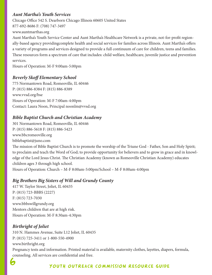# *Aunt Martha's Youth Services*

Chicago Office 542 S. Dearborn Chicago Illinois 60605 United States 877-692-8686 F: (708) 747-3497

www.auntmarthas.org

Aunt Martha's Youth Service Center and Aunt Martha's Healthcare Network is a private, not-for-profit regionally-based agency providingcomplete health and social services for families across Illinois. Aunt Martha's offers a variety of programs and services designed to provide a full continuum of care for children, teens and families. These resources form a spectrum of care that includes: child welfare, healthcare, juvenile justice and prevention services.

Hours of Operation: M-F 9:00am-5:00pm

# *Beverly Skoff Elementary School*

775 Normantown Road, Romeoville, IL 60446 P: (815) 886-8384 F: (815) 886-8389 www.vvsd.org/bse Hours of Operation: M-F 7:00am-4:00pm Contact: Laura Noon, Principal noonlm@vvsd.org

# *Bible Baptist Church and Christian Academy*

301 Normantown Road, Romeoville, IL 60446 P: (815) 886-5618 F: (815) 886-5423 www.bbcromeoville.org biblebaptist@juno.com The mission of Bible Baptist Church is to promote the worship of the Triune God - Father, Son and Holy Spirit; to proclaim and teach the Word of God; to provide opportunity for believers and to grow in grace and in knowledge of the Lord Jesus Christ. The Christian Academy (known as Romeoville Christian Academy) educates children ages 3 through high school. Hours of Operation: Church – M-F 8:00am-5:00pm/School – M-F 8:00am-4:00pm

# *Big Brothers Big Sisters of Will and Grundy County*

417 W. Taylor Street, Joliet, IL 60435 P: (815) 723-BBBS (2227) F: (815) 723-7030 www.bbbswillgrundy.org Mentors children that are at high risk. Hours of Operation: M-F 8:30am-4:30pm

# *Birthright of Joliet*

310 N. Hammes Avenue, Suite L12 Joliet, IL 60435 P: (815) 725-3411 or 1-800-550-4900 www.birthright.org Pregnancy tests and information. Printed material is available, maternity clothes, layettes, diapers, formula, counseling. All services are confidential and free.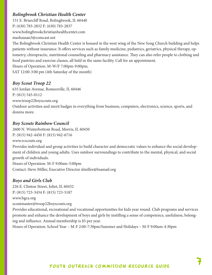# *Bolingbrook Christian Health Center*

151 E. Briarcliff Road, Bolingbrook, IL 60440 P: (630) 783-2832 F: (630) 783-2837 www.bolingbrookchristianhealthcenter.com marksusan3@comcast.net

The Bolingbrook Christian Health Center is housed in the west wing of the New Song Church building and helps patients without insurance. It offers services such as family medicine, pediatrics, geriatrics, physical therapy, optometry, chiropractic, nutritional counseling and pharmacy assistance. They can also refer people to clothing and food pantries and exercise classes, all held in the same facility. Call for an appointment. Hours of Operation: M-W/F 7:00pm-9:00pm; SAT 12:00-3:00 pm (4th Saturday of the month)

*Boy Scout Troop 22*

635 Jordan Avenue, Romeoville, IL 60446 P: (815) 545-0112 www.troop22boyscouts.org Outdoor activities and merit badges in everything from business, computers, electronics, science, sports, and dozens more.

#### *Boy Scouts Rainbow Council*

2600 N. Winterbottom Road, Morris, IL 60450 P: (815) 942-4450 F: (815) 942-6716 www.rcscouts.org Provides individual and group activities to build character and democratic values to enhance the social development of children and young adults. Uses outdoor surroundings to contribute to the mental, physical, and social growth of individuals. Hours of Operation: M-F 9:00am-5:00pm Contact: Steve Miller, Executive Director slmiller@bsamail.org

# *Boys and Girls Club*

226 E. Clinton Street, Joliet, IL 60432 P: (815) 723-3434 F: (815) 723-5187 www.bgca.org scoutmaster@troop22boyscouts.org

Provides educational, recreational and vocational opportunities for kids year round. Club programs and services promote and enhance the development of boys and girls by instilling a sense of competence, usefulness, belonging and influence. Annual membership is \$5 per year.

Hours of Operation: School Year – M-F 2:00-7:30pm/Summer and Holidays – M-F 9:00am-4:30pm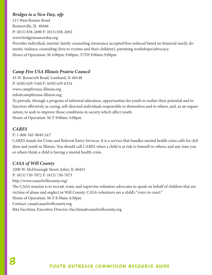# *Bridges to a New Day, nfp*

215 West Romeo Road Romeoville, IL 60446 P: (815) 838-2690 F: (815) 838-2692 www.bridgestoanewday.org Provides individual, marital, family counseling (insurance accepted/fees reduced based on financial need); domestic violence counseling (free to victims and their children); parenting workshops/advocacy. Hours of Operation: M 4:00pm-9:00pm; T/TH 9:00am-9:00pm

# *Camp Fire USA Illinois Prairie Council*

45 W. Roosevelt Road, Lombard, IL 60148 P: (630) 629-5160 F: (630) 629-6324 www.campfireusa-illinois.org info@campfireusa-illinois.org

To provide, through a program of informal education, opportunities for youth to realize their potential and to function effectively as caring, self-directed individuals responsible to themselves and to others, and, as an organization, to seek to improve those conditions in society which affect youth.

Hours of Operation: M-F 9:00am-5:00pm

# *CARES*

P: 1-800-345-9049 24/7

CARES stands for Crisis and Referral Entry Services. It is a service that handles mental health crisis calls for children and youth in Illinois. You should call CARES when a child is at risk to himself or others, and any time you or others think a child is having a mental health crisis.

#### *CASA of Will County*

3200 W. McDonough Street, Joliet, IL 60431 P: (815) 730-7072 F: (815) 730-7073 http://www.casaofwillcounty.org/ The CASA mission is to recruit, train, and supervise volunteer advocates to speak on behalf of children that are victims of abuse and neglect in Will County. CASA volunteers are a child's "voice in court." Hours of Operation: M-F 8:30am-4:30pm Contact: casa@casaofwillcounty.org Rita Facchina, Executive Director rfacchina@casaofwillcounty.org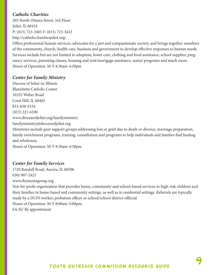# *Catholic Charities*

203 North Ottawa Street, 3rd Floor Joliet, IL 60432 P: (815) 723-3405 F: (815) 723-3452 http://catholiccharitiesjoliet.org/

Offers professional human services, advocates for a just and compassionate society, and brings together members of the community, church, health care, business and government to develop effective responses to human needs. Services include but are not limited to adoption, foster care, clothing and food assistance, school supplies, pregnancy services, parenting classes, housing and rent/mortgage assistance, senior programs and much more. Hours of Operation: M-F 8:30am-4:30pm

# *Center for Family Ministry*

Diocese of Joliet-in-Illinois Blanchette Catholic Center 16555 Weber Road Crest Hill, IL 60403 815-838-5334 (815) 221-6100 www.dioceseofjoliet.org/familyministry familyministry@dioceseofjoliet.org Ministries include peer support groups addressing loss or grief due to death or divorce, marriage preparation, family enrichment programs, training, consultation and programs to help individuals and families find healing and wholeness.

Hours of Operation: M-F 8:30am-4:30pm

# *Center for Family Services*

1720 Randall Road, Aurora, IL 60506 630) 907-2421 www.thementagroup.org

Not-for-profit organization that provides home, community and school-based services to high-risk children and their families in home-based and community settings, as well as in residential settings. Referrals are typically made by a DCFS worker, probation officer or school/school district offiicial.

Hours of Operation: M-F 8:00am-5:00pm; SA-SU By appointment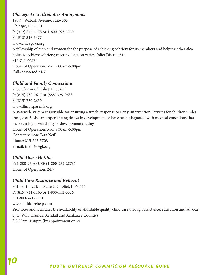# *Chicago Area Alcoholics Anonymous*

180 N. Wabash Avenue, Suite 305 Chicago, IL 60601 P: (312) 346-1475 or 1-800-593-3330 F: (312) 346-5477 www.chicagoaa.org A fellowship of men and women for the purpose of achieving sobriety for its members and helping other alcoholics to achieve sobriety; meeting location varies. Joliet District 51: 815-741-6637 Hours of Operation: M-F 9:00am-5:00pm Calls answered 24/7

# *Child and Family Connections*

2300 Glenwood, Joliet, IL 60435 P: (815) 730-2617 or (888) 329-0633 F: (815) 730-2650 www.illinoisparents.org A statewide system responsible for ensuring a timely response to Early Intervention Services for children under the age of 3 who are experiencing delays in development or have been diagnosed with medical conditions that involve a high probability of developmental delay. Hours of Operation: M-F 8:30am-5:00pm Contact person: Tara Neff Phone: 815-207-5708 e-mail: tneff@swgk.org

# *Child Abuse Hotline*

P: 1-800-25 ABUSE (1-800-252-2873) Hours of Operation: 24/7

# *Child Care Resource and Referral*

801 North Larkin, Suite 202, Joliet, IL 60435 P: (815) 741-1163 or 1-800-552-5526 F: 1-800-741-1170 www.childcarehelp.com Promotes and facilitates the availability of affordable quality child care through assistance, education and advocacy in Will, Grundy, Kendall and Kankakee Counties. F 8:30am-4:30pm (by appointment only)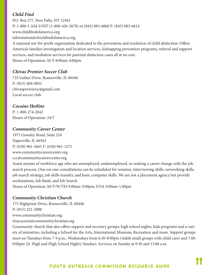# *Child Find*

P.O. Box 277, New Paltz, NY 12561 P: 1-800-I-AM-LOST (1-800-426-5678) or (845) 883-6060 F: (845) 883-6614 www.childfindofamerica.org information@chicldfindofamerica.org A national not-for-profit organization dedicated to the prevention and resolution of child abduction. Offers America's families investigation and location services, kidnapping prevention programs, referral and support services, and mediation services for parental abduction cases all at no cost. Hours of Operation: M-F 8:00am-4:00pm

# *Chivas Premier Soccer Club*

735 Luther Drive, Romeoville, IL 60446 P: (815) 404-0832 chivaspermiersc@gmail.com Local soccer club.

# *Cocaine Hotline*

P: 1-800-274-2042 Hours of Operation: 24/7

# *Community Career Center*

1971 Gowdey Road, Suite 210 Naperville, IL 60563 P: (630) 961-5665 F: (630) 961-1271 www.communitycareercenter.org

ccc@communitycareercenter.org

Assist anyone of workforce age who are unemployed, underemployed, or seeking a career change with the job search process. One-on-one consultations can be scheduled for resumes, interviewing skills, networking skills, job search strategy, job skills transfer, and basic computer skills. We are not a placement agency but provide workstations, Job Bank, and Job Search.

Hours of Operation: M/T/W/TH 9:00am-3:00pm; F/SA 9:00am-1:00pm

# *Community Christian Church*

175 Highpoint Drive, Romeoville, IL 60446 P: (815) 221-2000 www.communitychristian.org tinacaceres@communitychristian.org

Community church that also offers support and recovery groups, high school nights, kids programs and a variety of ministries, including a School for the Arts, International Missions, Recreation and more. Support groups meet on Tuesdays from 7-9 p.m.; Wednesdays from 6:30-8:00pm (Adult small groups with child care) and 7:00- 9:00pm (Jr. High and High School Night); Sundays. Services on Sunday at 9:30 and 11:00 a.m.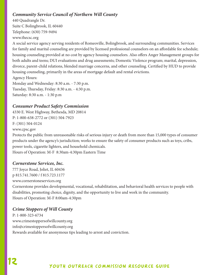# *Community Service Council of Northern Will County*

440 Quadrangle Dr. Suite C Bolingbrook, IL 60440 Telephone: (630) 759-9494 www.thecsc.org

A social service agency serving residents of Romeoville, Bolingbrook, and surrounding communities. Services for family and marital counseling are provided by licensed professional counselors on an affordable fee schedule; housing counseling provided at no cost by agency housing counselors. Also offers Anger Management groups for both adults and teens; DUI evaluations and drug assessments; Domestic Violence program; marital, depression, divorce, parent-child relations, blended marriage concerns, and other counseling. Certified by HUD to provide housing counseling, primarily in the areas of mortgage default and rental evictions. Agency Hours: Monday and Wednesday: 8:30 a.m. - 7:30 p.m. Tuesday, Thursday, Friday: 8:30 a.m. - 4:30 p.m.

Saturday: 8:30 a.m. - 1:30 p.m

# *Consumer Product Safety Commission*

4330 E. West Highway, Bethesda, MD 20814 P: 1-800-638-2772 or (301) 504-7923 F: (301) 504-0124 www.cpsc.gov

Protects the public from unreasonable risks of serious injury or death from more than 15,000 types of consumer products under the agency's jurisdiction; works to ensure the safety of consumer products such as toys, cribs, power tools, cigarette lighters, and household chemicals. Hours of Operation: M-F 8:30am-4:30pm Eastern Time

# *Cornerstone Services, Inc.*

777 Joyce Road, Joliet, IL 60436 p 815.741.7600 / f 815.723.1177 www.cornerstoneservices.org

Cornerstone provides developmental, vocational, rehabilitation, and behavioral health services to people with disabilities, promoting choice, dignity, and the opportunity to live and work in the community. Hours of Operation: M-F 8:00am-4:30pm

# *Crime Stoppers of Will County*

P: 1-800-323-6734 www.crimestoppersofwillcounty.org info@crimestoppersofwillcounty.org Rewards available for anonymous tips leading to arrest and conviction.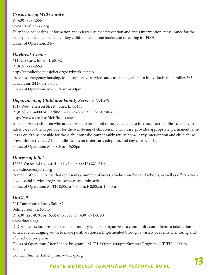# *Crisis Line of Will County*

P: (630) 759-4555 www.crisisline247.org Telephone counseling, information and referral; suicide prevention and crisis intervention; reassurance for the elderly, handicapped, and latch-key children; telephone intake and screening for FISH. Hours of Operation: 24/7

# *Daybreak Center*

611 East Cass, Joliet, IL 60432 P: (815) 774-4663 http://catholiccharitiesjoliet.org/daybreak-center/ Provides emergency housing, food, supportive services and case management to individuals and families 365 days a year, 24 hours a day. Hours of Operation: M-F 8:30am-4:30pm

# *Department of Child and Family Services (DCFS)*

1619 West Jefferson Street, Joliet, IL 60435 P: (815) 730-4000 or Hotline: 1-800-252-2873 F: (815) 730-4060 http://www.state.il.us/dcfs/index.shtml

Aims to protect children who are reported to be abused or neglected and to increase their families' capacity to safely care for them; provides for the well-being of children in DCFS care; provides appropriate, permanent families as quickly as possible for those children who cannot safely return home; early intervention and child abuse prevention activities. Also handles issues on foster care, adoption, and day care licensing. Hours of Operation: M-F 8:30am-5:00pm

# *Diocese of Joliet*

16555 Weber Rd • Crest Hill • IL 60403 • (815) 221-6100 www.dioceseofjoliet.org Roman Catholic Diocese that represents a number of area Catholic churches and schools, as well as offers a variety of social service programs, services and ministries. Hours of Operation: M-TH 8:00am-4:30pm; F 8:00am-1:00pm

# *DuCAP*

201 Canterburry Lane, Suite C Bolingbrook, IL 60440 P: (630) 226-8704 or (630) 671-8000 F: (630) 671-0180 www.ducap.org DuCAP assists local residents and community leaders to organize as a community committee, to take action aimed at encouraging youth to make positive choices. Implemented through a variety of events, mentoring and after school programs. Hours of Operation: After School Program – M-TH 3:00pm-6:00pm/Summer Programs – T-TH 11:00am-3:00pm Contact: Jimmy Barber, jimmy@ducap.org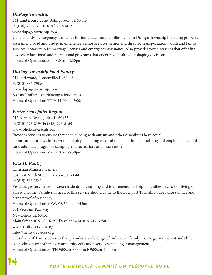# *DuPage Township*

241 Canterbury Lane, Bolingbrook, IL 60440 P: (630) 759-1317 F: (630) 759-3412 www.dupagetownship.com

General and/or emergency assistance for individuals and families living in DuPage Township including property assessment, road and bridge maintenance, senior services, senior and disabled transportation, youth and family services, notary public, marriage licenses and emergency assistance. Also provides youth services that offer fun, low cost educational and recreational programs that encourage healthy life shaping decisions. Hours of Operation: M-F 8:30am-4:30pm

# *DuPage Township Food Pantry*

719 Parkwood, Romeoville, IL 60446 P: (815) 886-7986 www.dupagetownship.com Assists families experiencing a food crisis. Hours of Operation: T/TH 11:00am-2:00pm

# *Easter Seals Joliet Region*

212 Barney Drive, Joliet, IL 60435 P: (815) 725-2194 F: (815) 725-5150 www.joliet.easterseals.com

Provides services to ensure that people living with autism and other disabilities have equal opportunities to live, learn, work and play, including medical rehabilitation, job training and employment, child care, adult day programs, camping and recreation, and much more. Hours of Operation: M-F 7:30am-5:30pm

# *F.I.S.H. Pantry*

Christian Ministry Center: 604 East Ninth Street, Lockport, IL 60441 P: (815) 588-3543 Provides grocery items for area residents all year long and is a tremendous help to families in crisis or living on a fixed income. Families in need of this service should come to the Lockport Township Supervisor's Office and bring proof of residency. Hours of Operation: M/W/F 8:30am-11:45am 301 Veterans Parkway New Lenox, IL 60451 Main Office: 815-485-6197 Development: 815-717-3750 www.trinity-services.org info@trinity-services.org Subsidiary of Trinity Services that provides a wide range of individual, family, marriage, and parent and child counseling, psychotherapy, community education services, and anger management. Hours of Operation: M-TH 9:00am-8:00pm; F 9:00am-7:00pm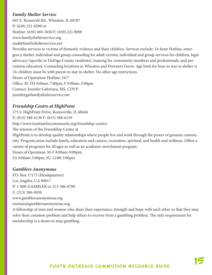# *Family Shelter Service*

605 E. Roosevelt Rd., Wheaton, IL 60187 P: (630) 221-8290 or Hotline: (630) 469-5650 F: (630) 221 8098 www.familyshelterservice.org mail@familyshelterservice.net

Provides services to victims of domestic violence and their children. Services include: 24-hour Hotline, emergency shelter, individual and group counseling for adult victims, individual and group services for children, legal advocacy (specific to DuPage County residents), training for community members and professionals, and prevention education. Counseling locations in Wheaton and Downers Grove. Age limit for boys to stay in shelter is 14; children must be with parent to stay in shelter. No other age restrictions. Hours of Operation: Hotline: 24/7 Office: M-TH 9:00am-7:00pm; F 9:00am-5:00pm Contact: Jennifer Gabrenya, MS, CDVP jenniferg@familyshelterservice.net

# *Friendship Centre at HighPoint*

175 S. HighPoint Drive, Romeoville, IL 60446 P: (815) 588-6130 F: (815) 588-6159 http://www.instituteforcommunity.org/friendship-centre/ The mission of the Friendship Center at HighPoint is to develop quality relationships where people live and work through the power of genuine community. Program areas include family, education and careers, recreation, spiritual, and health and wellness. Offers a variety of programs for all ages as well as an academic enrichment program. Hours of Operation: M-F 8:00am-9:00pm;

SA 8:00am-5:00pm; SU 12:00-5:00pm

#### *Gamblers Anonymous*

P.O. Box 17173 (Headquarters) Los Angeles, CA 90017 P: 1-800-GAMBLER or 213-386-8789 F: (213) 386-0030 www.gamblersanonymous.org isomain@gamblersanonymous.org.

A fellowship of men and women who share their experience, strength and hope with each other so that they may solve their common problem and help others to recover from a gambling problem. The only requirement for membership is a desire to stop gambling.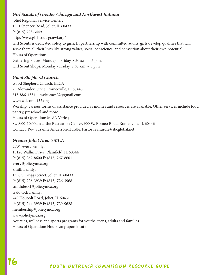# *Girl Scouts of Greater Chicago and Northwest Indiana*

Joliet Regional Service Center: 1551 Spencer Road, Joliet, IL 60433 P: (815) 723-3449 http://www.girlscoutsgcnwi.org/ Girl Scouts is dedicated solely to girls. In partnership with committed adults, girls develop qualities that will serve them all their lives like strong values, social conscience, and conviction about their own potential. Hours of Operation: Gathering Places: Monday – Friday, 8:30 a.m. – 5 p.m. Girl Scout Shops: Monday - Friday, 8:30 a.m. – 5 p.m

# *Good Shepherd Church*

Good Shepherd Church, ELCA 25 Alexander Circle, Romeoville, IL 60446 815-886-4354 | welcome432@gmail.com www.welcome432.org Worship; various forms of assistance provided as monies and resources are available. Other services include food pantry, preschool and more. Hours of Operation: M-SA Varies; SU 8:00-10:00am at the Recreation Center, 900 W. Romeo Road, Romeoville, IL 60446 Contact: Rev. Suzanne Anderson-Hurdle, Pastor revhurdle@sbcglobal.net

# *Greater Joliet Area YMCA*

C.W. Avery Family: 15120 Wallin Drive, Plainfield, IL 60544 P: (815) 267-8600 F: (815) 267-8601 avery@jolietymca.org Smith Family: 1350 S. Briggs Street, Joliet, IL 60433 P: (815) 726-3939 F: (815) 726-3968 smithdesk1@jolietymca.org Galowich Family: 749 Houbolt Road, Joliet, IL 60431 P: (815) 744-3939 F: (815) 729-9628 membership@jolietymca.org www.jolietymca.org Aquatics, wellness and sports programs for youths, teens, adults and families. Hours of Operation: Hours vary upon location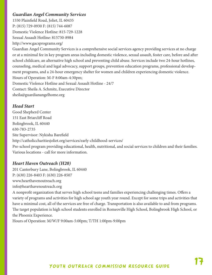# *Guardian Angel Community Services*

1550 Plainfield Road, Joliet, IL 60435 P: (815) 729-0930 F: (815) 744-6087 Domestic Violence Hotline: 815-729-1228 Sexual Assault Hotline: 815730-8984 http://www.gacsprograms.org/

Guardian Angel Community Services is a comprehensive social services agency providing services at no charge or at a minimal fee in key program areas including domestic violence, sexual assault, foster care, before and after school childcare, an alternative high school and preventing child abuse. Services include two 24-hour hotlines, counseling, medical and legal advocacy, support groups, prevention education programs, professional development programs, and a 24-hour emergency shelter for women and children experiencing domestic violence. Hours of Operation: M-F 8:00am-4:30pm; Domestic Violence Hotline and Sexual Assault Hotline - 24/7 Contact: Sheila A. Schmitz, Executive Director sheila@guardianangelhome.org

# *Head Start*

Good Shepherd Center 151 East Briarcliff Road Bolingbrook, IL 60440 630-783-2735 Site Supervisor: Nykisha Barefield http://catholiccharitiesjoliet.org/services/early-childhood-services/ Pre-school program providing educational, health, nutritional, and social services to children and their families. Various locations - call for more information.

# *Heart Haven Outreach (H20)*

201 Canterbury Lane, Bolingbrook, IL 60440 P: (630) 226-8403 F: (630) 226-8507 www.hearthavenoutreach.org info@hearthavenoutreach.org

A nonprofit organization that serves high school teens and families experiencing challenging times. Offers a variety of programs and activities for high school age youth year round. Except for some trips and activities that have a minimal cost, all of the services are free of charge. Transportation is also available to and from programs. The target population is high school students enrolled in Romeoville High School, Bolingbrook High School, or the Phoenix Experience.

Hours of Operation: M/W/F 9:00am-5:00pm; T/TH 1:00pm-9:00pm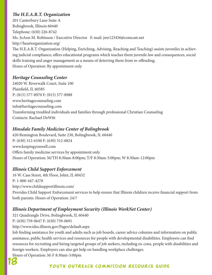# *The H.E.A.R.T. Organization*

201 Canterbury Lane Suite A Bolingbrook, Illinois 60440 Telephone: (630) 226-8742 Ms. JoAnn M. Robinson / Executive Director E-mail: jmr123456@comcast.net http://heartorganization.org/ The H.E.A.R.T. Organization (Helping, Enriching, Advising, Reaching and Teaching) assists juveniles in achieving judicial compliance; offers educational programs which teaches them juvenile law and consequences, social skills training and anger management as a means of deterring them from re-offending. Hours of Operation: By appointment only

# *Heritage Counseling Center*

24020 W. Riverwalk Court, Suite 100 Plainfield, IL 60585 P: (815) 577-8970 F: (815) 577-8988 www.heritagecounseling.com info@heritagecounseling.com Transforming troubled individuals and families through professional Christian Counseling Contacts: Rachael DeWitt

# *Hinsdale Family Medicine Center of Bolingbrook*

420 Remington Boulevard, Suite 230, Bolingbrook, IL 60440 P: (630) 312-6100 F: (630) 312-6824 www.keepingyouwell.com Offers family medicine services by appointment only. Hours of Operation: M/TH 8:30am-8:00pm; T/F 8:30am-5:00pm; W 8:30am-12:00pm

# *Illinois Child Support Enforcement*

16 W. Cass Street, 4th Floor, Joliet, IL 60432 P: 1-800-447-4278 http://www.childsupportillinois.com/ Provides Child Support Enforcement services to help ensure that Illinois children receive financial support from both parents. Hours of Operation: 24/7

# *Illinois Department of Employment Security (Illinois WorkNet Center)*

321 Quadrangle Drive, Bolingbrook, IL 60440 P: (630) 759-0647 F: (630) 759-0691

http://www.ides.illinois.gov/Pages/default.aspx

Job finding assistance for youth and adults such as job boards, career advice columns and information on public assistance, public health services and resources for people with developmental disabilities. Employers can find resources for recruiting and hiring targeted groups of job seekers, including ex-cons, people with disabilities and foreign workers. Employers can also get help on handling workplace challenges.

Hours of Operation: M-F 8:30am-5:00pm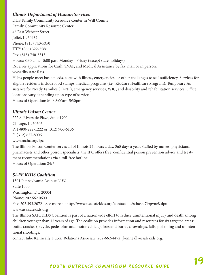# *Illinois Department of Human Services*

DHS Family Community Resource Center in Will County Family Community Resource Center 45 East Webster Street Joliet, IL 60432 Phone: (815) 740-5350 TTY: (866) 322-2586 Fax: (815) 740-5313 Hours: 8:30 a.m. - 5:00 p.m. Monday - Friday (except state holidays) Receives applications for Cash, SNAP, and Medical Assistance by fax, mail or in person. www.dhs.state.il.us Helps people meet basic needs, cope with illness, emergencies, or other challenges to self-sufficiency. Services for eligible residents include food stamps, medical programs (i.e., KidCare Healthcare Program), Temporary Assistance for Needy Families (TANF), emergency services, WIC, and disability and rehabilitation services. Office locations vary depending upon type of service. Hours of Operation: M-F 8:00am-5:30pm

# *Illinois Poison Center*

222 S. Riverside Plaza, Suite 1900 Chicago, IL 60606 P: 1-800-222-1222 or (312) 906-6136 F: (312) 627-8006 www.mchc.org/ipc The Illinois Poison Center serves all of Illinois 24 hours a day, 365 days a year. Staffed by nurses, physicians, pharmacists and other poison specialists, the IPC offers free, confidential poison prevention advice and treatment recommendations via a toll-free hotline. Hours of Operation: 24/7

#### *SAFE KIDS Coalition*

1301 Pennsylvania Avenue N.W. Suite 1000 Washington, DC 20004 Phone: 202.662.0600 Fax: 202.393.2072 - See more at: http://www.usa.safekids.org/contact-us#sthash.7ippvnz8.dpuf www.usa.safekids.org The Illinois SAFEKIDS Coalition is part of a nationwide effort to reduce unintentional injury and death among children younger than 15 years of age. The coalition provides information and resources for six targeted areas: traffic crashes (bicycle, pedestrian and motor vehicle), fires and burns, drownings, falls, poisoning and unintentional shootings.

contact Julie Kenneally, Public Relations Associate, 202-662-4472, jkenneally@safekids.org.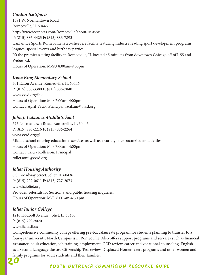# *Canlan Ice Sports*

1581 W. Normantown Road Romeoville, IL 60446 http://www.icesports.com/Romeoville/about-us.aspx P: (815) 886-4423 F: (815) 886-7893 Canlan Ice Sports Romeoville is a 3-sheet ice facility featuring industry leading sport development programs, leagues, special events and birthday parties. It's the premier skating facility in Romeoville, IL located 45 minutes from downtown Chicago off of I-55 and Weber Rd. Hours of Operation: M-SU 8:00am-9:00pm

# *Irene King Elementary School*

301 Eaton Avenue, Romeoville, IL 60446 P: (815) 886-3380 F: (815) 886-7840 www.vvsd.org/ihk Hours of Operation: M-F 7:00am-4:00pm Contact: April Vacik, Principal vacikam@vvsd.org

# *John J. Lukancic Middle School*

725 Normantown Road, Romeoville, IL 60446 P: (815) 886-2216 F: (815) 886-2264 www.vvsd.org/jjl Middle school offering educational services as well as a variety of extracurricular activities. Hours of Operation: M-F 7:00am-4:00pm Contact: Tricia Rollerson, Principal rollersontl@vvsd.org

# *Joliet Housing Authority*

6 S. Broadway Street, Joliet, IL 60436 P: (815) 727-0611 F: (815) 727-2073 www.hajoliet.org Provides referrals for Section 8 and public housing inquiries. Hours of Operation: M-F 8:00 am-4:30 pm

# *Joliet Junior College*

1216 Houbolt Avenue, Joliet, IL 60436 P: (815) 729-9020 www.jjc.cc.il.us

Comprehensive community college offering pre-baccalaureate program for students planning to transfer to a four-year university. North Campus is in Romeoville. Also offers support programs and services such as financial assistance, adult education, job training, employment, GED review, career and vocational counseling, English as a Second Language classes, Citizenship Test review, Displaced Homemakers programs and other women and family programs for adult students and their families.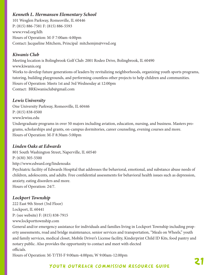# *Kenneth L. Hermansen Elementary School*

101 Wesglen Parkway, Romeoville, IL 60446 P: (815) 886-7581 F: (815) 886-5593 www.vvsd.org/klh Hours of Operation: M-F 7:00am-4:00pm Contact: Jacqueline Mitchem, Principal mitchemjm@vvsd.org

# *Kiwanis Club*

Meeting location is Bolingbrook Golf Club: 2001 Rodeo Drive, Bolingbrook, IL 60490 www.kiwanis.org Works to develop future generations of leaders by revitalizing neighborhoods, organizing youth sports programs, tutoring, building playgrounds, and performing countless other projects to help children and communities. Hours of Operation: Meets 1st and 3rd Wednesday at 12:00pm Contact: BRKiwanisclub@gmail.com

# *Lewis University*

One University Parkway, Romeoville, IL 60446 P: (815) 838-0500 www.lewisu.edu Undergraduate programs in over 50 majors including aviation, education, nursing, and business. Masters programs, scholarships and grants, on-campus dormitories, career counseling, evening courses and more. Hours of Operation: M-F 8:30am-5:00pm

# *Linden Oaks at Edwards*

801 South Washington Street, Naperville, IL 60540 P: (630) 305-5500 http://www.edward.org/lindenoaks Psychiatric facility of Edwards Hospital that addresses the behavioral, emotional, and substance abuse needs of children, adolescents, and adults. Free confidential assessments for behavioral health issues such as depression, anxiety, eating disorders and more. Hours of Operation: 24/7.

# *Lockport Township*

222 East 9th Street (3rd Floor) Lockport, IL 60441 P: (see website) F: (815) 838-7915 www.lockporttownship.com

General and/or emergency assistance for individuals and families living in Lockport Township including property assessments, road and bridge maintenance, senior services and transportation, "Meals on Wheels," youth and family services, medical closet, Mobile Driver's License facility, Kinderprint Child ID Kits, food pantry and notary public. Also provides the opportunity to contact and meet with elected officials.

Hours of Operation: M-T/TH-F 9:00am-4:00pm; W 9:00am-12:00pm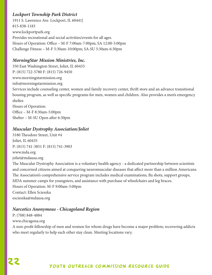# *Lockport Township Park District*

1911 S. Lawrence Ave. Lockport, IL 60441| 815-838-1183 www.lockportpark.org Provides recreational and social activities/events for all ages. Hours of Operation: Office – M-F 7:00am-7:00pm; SA 12:00-5:00pm Challenge Fitness – M-F 5:30am-10:00pm; SA-SU 5:30am-6:30pm

# *MorningStar Mission Ministries, Inc.*

350 East Washington Street, Joliet, IL 60433 P: (815) 722-5780 F: (815) 726-9450 www.morningstarmission.org info@morningstarmission.org Services include counseling center, women and family recovery center, thrift store and an advance transitional housing program, as well as specific programs for men, women and children. Also provides a men's emergency shelter.

Hours of Operation: Office – M-F 8:30am-5:00pm Shelter – M-SU Open after 6:30pm

# *Muscular Dystrophy Association/Joliet*

3180 Theodore Street, Unit #4 Joliet, IL 60435 P: (815) 741-3851 F: (815) 741-3903 www.mda.org joliet@mdausa.org The Muscular Dystrophy Association is a voluntary health agency - a dedicated partnership between scientists and concerned citizens aimed at conquering neuromuscular diseases that affect more than a million Americans. The Association's comprehensive service program includes medical examinations, flu shots, support groups, MDA summer camps for youngsters, and assistance with purchase of wheelchairs and leg braces. Hours of Operation: M-F 9:00am-5:00pm Contact: Ellen Scieszka escieszka@mdausa.org

#### *Narcotics Anonymous - Chicagoland Region*

P: (708) 848-4884 www.chicagona.org A non-profit fellowship of men and women for whom drugs have become a major problem; recovering addicts who meet regularly to help each other stay clean. Meeting locations vary.

# 22 Youth outreach commission resource guide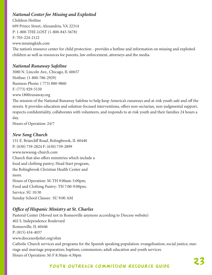# *National Center for Missing and Exploited*

Children Hotline 699 Prince Street, Alexandria, VA 22314 P: 1-800-THE-LOST (1-800-843-5678) F: 703-224-2122 www.missingkids.com

The nation's resource center for child protection - provides a hotline and information on missing and exploited children as well as resources for parents, law enforcement, attorneys and the media.

# *National Runaway Safeline*

3080 N. Lincoln Ave., Chicago, IL 60657 Hotline: (1-800-786-2929) Business Phone: ( 773) 880-9860 F: (773) 929-5150

www.1800runaway.org The mission of the National Runaway Safeline to help keep America's runaways and at-risk youth safe and off the streets. It provides education and solution-focused interventions, offers non-sectarian, non-judgmental support, respects confidentiality, collaborates with volunteers, and responds to at-risk youth and their families 24 hours a day.

Hours of Operation: 24/7

# *New Song Church*

151 E. Briarcliff Road, Bolingbrook, IL 60440 P: (630) 739-2824 F: (630) 739-2899 www.newsong-church.com Church that also offers ministries which include a food and clothing pantry, Head Start program, the Bolingbrook Christian Health Center and more. Hours of Operation: M-TH 9:00am-5:00pm; Food and Clothing Pantry: TH 7:00-9:00pm; Service: SU 10:30 Sunday School Classes: SU 9:00 AM

# *Office of Hispanic Ministry at St. Charles*

Pastoral Center (Moved not in Romeoville anymore according to Diocese website) 402 S. Independence Boulevard Romeoville, IL 60446 P: (815) 434-4037 www.dioceseofjoliet.org/ohm Catholic Church services and programs for the Spanish speaking population: evangelization; social justice; marriage and marriage preparation; baptism; communion; adult education and youth services. Hours of Operation: M-F 8:30am-4:30pm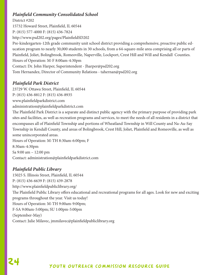# *Plainfield Community Consolidated School*

District #202 15732 Howard Street, Plainfield, IL 60544 P: (815) 577-4000 F: (815) 436-7824 http://www.psd202.org/pages/PlainfieldSD202 Pre-kindergarten-12th grade community unit school district providing a comprehensive, proactive public education program to nearly 30,000 students in 30 schools, from a 64-square-mile area comprising all or parts of Plainfield, Joliet, Bolingbrook, Romeoville, Naperville, Lockport, Crest Hill and Will and Kendall Counties. Hours of Operation: M-F 8:00am-4:30pm Contact: Dr. John Harper, Superintendent - Jharper@psd202.org Tom Hernandez, Director of Community Relations - tahernan@psd202.org

# *Plainfield Park District*

23729 W. Ottawa Street, Plainfield, IL 60544

P: (815) 436-8812 F: (815) 436-8935

www.plainfieldparkdistrict.com

administration@plainfieldparkdistrict.com

The Plainfield Park District is a separate and distinct public agency with the primary purpose of providing park sites and facilities, as well as recreation programs and services, to meet the needs of all residents in a district that encompasses all of Plainfield Township and portions of Wheatland Township in Will County and Na-Au-Say Township in Kendall County, and areas of Bolingbrook, Crest Hill, Joliet, Plainfield and Romeoville, as well as some unincorporated areas.

Hours of Operation: M-TH 8:30am-6:00pm; F 8:30am-4:30pm Sa 9:00 am – 12:00 pm Contact: administration@plainfieldparkdistrict.com

# *Plainfield Public Library*

15025 S. Illinois Street, Plainfield, IL 60544 P: (815) 436-6639 F: (815) 439-2878 http://www.plainfieldpubliclibrary.org/ The Plainfield Public Library offers educational and recreational programs for all ages. Look for new and exciting programs throughout the year. Visit us today! Hours of Operation: M-TH 9:00am-9:00pm; F-SA 9:00am-5:00pm; SU 1:00pm-5:00pm (September-May) Contact: Julie Milavec, jmmilavec@plainfieldpubliclibrary.org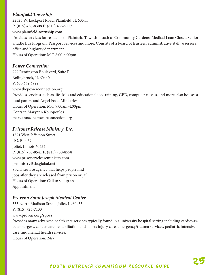# *Plainfield Township*

22525 W. Lockport Road, Plainfield, IL 60544 P: (815) 436-8308 F: (815) 436-5117 www.plainfield-township.com Provides services for residents of Plainfield Township such as Community Gardens, Medical Loan Closet, Senior Shuttle Bus Program, Passport Services and more. Consists of a board of trustees, administrative staff, assessor's office and highway department. Hours of Operation: M-F 8:00-4:00pm

# *Power Connection*

999 Remington Boulevard, Suite F Bolingbrook, IL 60440 P: 630.679.6899 www.thepowerconnection.org Provides services such as life skills and educational job training, GED, computer classes, and more; also houses a food pantry and Angel Food Ministries. Hours of Operation: M-F 9:00am-4:00pm Contact: Maryann Koliopoulos mary.ann@thepowerconnection.org

# *Prisoner Release Ministry, Inc.*

1321 West Jefferson Street P.O. Box 69 Joliet, Illinois 60434 P: (815) 730-8541 F: (815) 730-8558 www.prisonerreleaseministry.com prministry@sbcglobal.net Social service agency that helps people find jobs after they are released from prison or jail. Hours of Operation: Call to set up an Appointment

# *Provena Saint Joseph Medical Center*

333 North Madison Street, Joliet, IL 60435 P: (815) 725-7133 www.provena.org/stjoes

Provides many advanced health care services typically found in a university hospital setting including cardiovascular surgery, cancer care, rehabilitation and sports injury care, emergency/trauma services, pediatric intensive care, and mental health services.

Hours of Operation: 24/7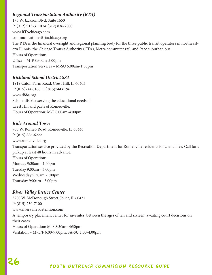# *Regional Transportation Authority (RTA)*

175 W. Jackson Blvd, Suite 1650 P: (312) 913-3110 or (312) 836-7000 www.RTAchicago.com communications@rtachicago.org The RTA is the financial oversight and regional planning body for the three public transit operators in northeastern Illinois: the Chicago Transit Authority (CTA), Metra commuter rail, and Pace suburban bus. Hours of Operation: Office – M-F 8:30am-5:00pm Transportation Services – M-SU 5:00am-1:00pm

# *Richland School District 88A*

1919 Caton Farm Road, Crest Hill, IL 60403 P:(815)744 6166 F:( 815)744 6196 www.d88a.org School district serving the educational needs of Crest Hill and parts of Romeoville. Hours of Operation: M-F 8:00am-4:00pm

# *Ride Around Town*

900 W. Romeo Road, Romeoville, IL 60446 P: (815) 886-6222 www.romeoville.org Transportation service provided by the Recreation Department for Romeoville residents for a small fee. Call for a pickup at least 48 hours in advance. Hours of Operation: Monday 9:30am - 1:00pm Tuesday 9:00am - 3:00pm Wednesday 9:30am -1:00pm Thursday 9:00am - 3:00pm

# *River Valley Justice Center*

3200 W. McDonough Street, Joliet, IL 60431 P: (815) 730-7100 www.rivervalleydetention.com A temporary placement center for juveniles, between the ages of ten and sixteen, awaiting court decisions on their cases. Hours of Operation: M-F 8:30am-4:30pm Visitation – M-T/F 6:00-9:00pm; SA-SU 1:00-4:00pm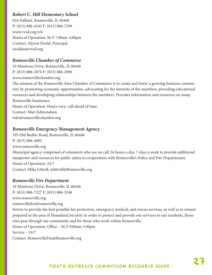# *Robert C. Hill Elementary School*

616 Dalhart, Romeoville, IL 60446 P: (815) 886-4343 F: (815) 886-7299 www.vvsd.org/rch Hours of Operation: M-F 7:00am-4:00pm Contact: Alyson Ewald, Principal ewaldae@vvsd.org

# *Romeoville Chamber of Commerce*

10 Montrose Drive, Romeoville, IL 60446 P: (815) 886-2076 F: (815) 886-2096 www.romeovillechamber.org The mission of the Romeoville Area Chamber of Commerce is to create and foster a growing business community by promoting economic opportunities, advocating for the interests of the members, providing educational resources and developing relationships between the members. Provides information and resources on many Romeoville businesses. Hours of Operation: Hours vary; call ahead of time.

Contact: Mari Edmondson info@romeovillechamber.org

# *Romeoville Emergency Management Agency*

195 Old Budler Road, Romeoville, IL 60446 P: (815) 886-4085 www.romeoville.org Municipal agency comprised of volunteers who are on call 24-hours a day, 7-days a week to provide additional manpower and resources for public safety in cooperation with Romeoville's Police and Fire Departments. Hours of Operation: 24/7 Contact: Mike Littrell, mlittrell@Romeoville.org

# *Romeoville Fire Department*

18 Montrose Drive, Romeoville, IL 60446 P: (815) 886-7227 F: (815) 886-3546 www.romeoville.org romeovillefire@romeoville.org Strives to provide the best possible fire protection, emergency medical, and rescue services, as well as to remain prepared in the area of Homeland Security in order to protect and provide our services to our residents, those who pass through our community and for those who work within Romeoville. Hours of Operation: Office – M-F 9:00am-5:00pm Service – 24/7 Contact: RomeovilleFire@Romeoville.org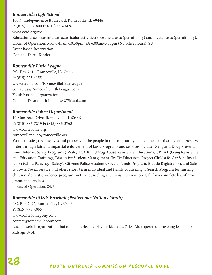# *Romeoville High School*

100 N. Independence Boulevard, Romeoville, IL 60446 P: (815) 886-1800 F: (815) 886-3426 www.vvsd.org/rhs Educational services and extracurricular activities; sport field uses (permit only) and theater uses (permit only). Hours of Operation: M-F 6:45am-10:30pm; SA 6:00am-5:00pm (No office hours); SU Event Based Reservation Contact: Derek Kinder

# *Romeoville Little League*

P.O. Box 7414, Romeoville, IL 60446 P: (815) 773-4155 www.eteamz.com/RomeovilleLittleLeague contactus@RomeovilleLittleLeague.com Youth baseball organization. Contact: Desmond Joiner, des4875@aol.com

# *Romeoville Police Department*

10 Montrose Drive, Romeoville, IL 60446 P: (815) 886-7219 F: (815) 886-2763 www.romeoville.org romeovillepolice@romeoville.org

Works to safeguard the lives and property of the people in the community, reduce the fear of crime, and preserve order through fair and impartial enforcement of laws. Programs and services include: Gang and Drug Presentations, Internet Safety Programs (I-Safe), D.A.R.E. (Drug Abuse Resistance Education), GREAT (Gang Resistance and Education Training), Disruptive Student Management, Traffic Education, Project Childsafe, Car Seat Installation (Child Passenger Safety), Citizens Police Academy, Special Needs Program, Bicycle Registration, and Safety Town. Social service unit offers short-term individual and family counseling, I-Search Program for missing children, domestic violence program, victim counseling and crisis intervention. Call for a complete list of programs and services.

Hours of Operation: 24/7

# *Romeoville PONY Baseball (Protect our Nation's Youth)*

P.O. Box 7492, Romeoville, IL 60446 P: (815) 773-4065 www.romeovillepony.com contact@romeovillepony.com Local baseball organization that offers interleague play for kids ages 7-18. Also operates a traveling league for kids age 8-14.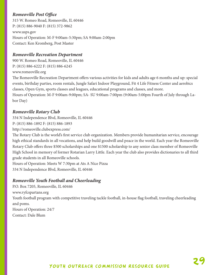# *Romeoville Post Office*

315 W. Romeo Road, Romeoville, IL 60446 P: (815) 886-9040 F: (815) 372-9862 www.usps.gov Hours of Operation: M-F 9:00am-5:30pm; SA 9:00am-2:00pm Contact: Ken Kromberg, Post Master

#### *Romeoville Recreation Department*

900 W. Romeo Road, Romeoville, IL 60446 P: (815) 886-6222 F: (815) 886-6245 www.romeoville.org

The Romeoville Recreation Department offers various activities for kids and adults age 6 months and up: special events, birthday parties, room rentals, Jungle Safari Indoor Playground, Fit 4 Life Fitness Center and aerobics classes, Open Gym, sports classes and leagues, educational programs and classes, and more.

Hours of Operation: M-F 9:00am-9:00pm; SA- SU 9:00am-7:00pm (9:00am-5:00pm Fourth of July through Labor Day)

# *Romeoville Rotary Club*

334 N Independence Blvd, Romeoville, IL 60446 P: (815) 886-1892 F: (815) 886-1893

http://romeoville.clubexpress.com/

The Rotary Club is the world's first service club organization. Members provide humanitarian service, encourage high ethical standards in all vocations, and help build goodwill and peace in the world. Each year the Romeoville Rotary Club offers three \$500 scholarships and one \$1500 scholarship to any senior class member of Romeoville High School in memory of former Rotarian Larry Little. Each year the club also provides dictionaries to all third grade students in all Romeoville schools.

Hours of Operation: Meets W 7:30pm at Ats A Nice Pizza 334 N Independence Blvd, Romeoville, IL 60446

# *Romeoville Youth Football and Cheerleading*

P.O. Box 7205, Romeoville, IL 60446 www.ryfcspartans.org Youth football program with competitive traveling tackle football, in-house flag football, traveling cheerleading and poms. Hours of Operation: 24/7 Contact: Dale Blum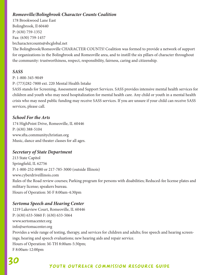# *Romeoville/Bolingbrook Character Counts Coalition*

178 Brookwood Lane East Bolingbrook, Il 60440 P: (630) 759-1352 Fax: (630) 759-1457

brcharactercounts@sbcglobal.net

The Bolingbrook/Romeoville CHARACTER COUNTS! Coalition was formed to provide a network of support for organizations in the Bolingbrook and Romeoville area, and to instill the six pillars of character throughout the community: trustworthiness, respect, responsibility, fairness, caring and citizenship.

#### *SASS*

P: 1-800-345-9049

P: (773)282-7800 ext. 220 Mental Health Intake

SASS stands for Screening, Assessment and Support Services. SASS provides intensive mental health services for children and youth who may need hospitalization for mental health care. Any child or youth in a mental health crisis who may need public funding may receive SASS services. If you are unsure if your child can receive SASS services, please call.

#### *School For the Arts*

174 HighPoint Drive, Romeoville, IL 60446 P: (630) 388-5104 www.sfta.communitychristian.org Music, dance and theater classes for all ages.

#### *Secretary of State Department*

213 State Capitol Springfield, IL 62756 P: 1-800-252-8980 or 217-785-3000 (outside Illinois) www.cyberdriveillinois.com Rules of the Road review courses; Parking program for persons with disabilities; Reduced-fee license plates and military license; speakers bureau. Hours of Operation: M-F 8:00am-4:30pm

#### *Sertoma Speech and Hearing Center*

1219 Lakeview Court, Romeoville, IL 60446 P: (630) 633-5060 F: (630) 633-5064 www.sertomacenter.org info@sertomacenter.org Provides a wide range of testing, therapy, and services for children and adults; free speech and hearing screenings; hearing and speech evaluations; new hearing aids and repair service. Hours of Operation: M-TH 8:00am-5:30pm; F 8:00am-12:00pm

# 30 Youth outreach commission resource guide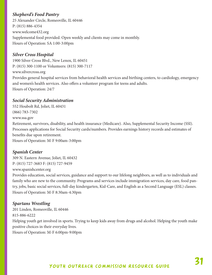# *Shepherd's Food Pantry*

25 Alexander Circle, Romeoville, IL 60446 P: (815) 886-4354 www.welcome432.org Supplemental food provided. Open weekly and clients may come in monthly. Hours of Operation: SA 1:00-3:00pm

## *Silver Cross Hospital*

1900 Silver Cross Blvd., New Lenox, IL 60451 P: (815) 300-1100 or Volunteers: (815) 300-7117 www.silvercross.org Provides general hospital services from behavioral health services and birthing centers, to cardiology, emergency and women's health services. Also offers a volunteer program for teens and adults. Hours of Operation: 24/7

#### *Social Security Administration*

552 Houbolt Rd, Joliet, IL 60431 (866) 783-7302 www.ssa.gov Retirement, survivors, disability, and health insurance (Medicare). Also, Supplemental Security Income (SSI). Processes applications for Social Security cards/numbers. Provides earnings history records and estimates of benefits due upon retirement. Hours of Operation: M-F 9:00am-3:00pm

# *Spanish Center*

309 N. Eastern Avenue, Joliet, IL 60432 P: (815) 727-3683 F: (815) 727-9459 www.spanishcenter.org

Provides education, social services, guidance and support to our lifelong neighbors, as well as to individuals and family who are new to the community. Programs and services include immigration services, day care, food pantry, jobs, basic social services, full-day kindergarten, Kid-Care, and English as a Second Language (ESL) classes. Hours of Operation: M-F 8:30am-4:30pm

# *Spartans Wrestling*

201 Linden, Romeoville, IL 60446 815-886-6222 Helping youth get involved in sports. Trying to keep kids away from drugs and alcohol. Helping the youth make positive choices in their everyday lives. Hours of Operation: M-F 6:00pm-9:00pm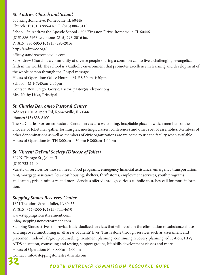# *St. Andrew Church and School*

505 Kingston Drive, Romeoville, IL 60446 Church : P: (815) 886-4165 F: (815) 886-6119 School : St. Andrew the Apostle School - 505 Kingston Drive, Romeoville, IL 60446 (815) 886-5953 telephone (815) 293-2016 fax P: (815) 886-5953 F: (815) 293-2016 http://andrewcc.org/ office@standrewromeoville.com St. Andrew Church is a community of diverse people sharing a common call to live a challenging, evangelical faith in the world. The school is a Catholic environment that promotes excellence in learning and development of the whole person through the Gospel message. Hours of Operation: Office Hours – M-F 8:30am-4:30pm School – M-F 7:45am-2:35pm Contact: Rev. Gregor Gorsic, Pastor pastor@andrewcc.org Mrs. Kathy Lifka, Principal

# *St. Charles Borromeo Pastoral Center*

Address: 101 Airport Rd, Romeoville, IL 60446 Phone:(815) 838-8100

The St. Charles Borromeo Pastoral Center serves as a welcoming, hospitable place in which members of the Diocese of Joliet may gather for liturgies, meetings, classes, conferences and other sort of assemblies. Members of other denominations as well as members of civic organizations are welcome to use the facility when available. Hours of Operation: M-TH 8:00am-4:30pm; F 8:00am-1:00pm

# *St. Vincent DePaul Society (Diocese of Joliet)*

307 N Chicago St., Joliet, IL

(815) 722-1140

Variety of services for those in need: Food programs, emergency financial assistance, emergency transportation, rent/mortgage assistance, low-cost housing, shelters, thrift stores, employment services, youth programs and camps, prison ministry, and more. Services offered through various catholic churches-call for more information.

# *Stepping Stones Recovery Center*

1621 Theodore Street, Joliet, IL 60435 P: (815) 744-4555 F: (815) 744-4670 www.steppingstonestreatment.com info@steppingstonestreatment.com

Stepping Stones strives to provide individualized services that will result in the elimination of substance abuse and improved functioning in all areas of clients' lives. This is done through services such as assessment and placement, individual/group counseling, treatment planning, continuing recovery planning, education, HIV/ AIDS education, counseling and testing, support groups, life skills development classes and more. Hours of Operation: M-F 8:00am 4:00pm

Contact: info@steppingstonestreatment.com

# 32 Youth outreach commission resource guide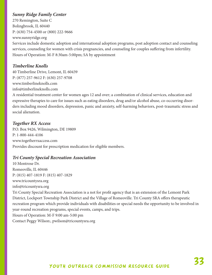# *Sunny Ridge Family Center*

270 Remington, Suite C Bolingbrook, IL 60440 P: (630) 754-4500 or (800) 222-9666 www.sunnyridge.org Services include domestic adoption and international adoption programs, post adoption contact and counseling services, counseling for women with crisis pregnancies, and counseling for couples suffering from infertility. Hours of Operation: M-F 8:30am-5:00pm; SA by appointment

# *Timberline Knolls*

40 Timberline Drive, Lemont, IL 60439 P: (877) 257-9612 F: (630) 257-9708 www.timberlineknolls.com info@timberlineknolls.com

A residential treatment center for women ages 12 and over; a combination of clinical services, education and expressive therapies to care for issues such as eating disorders, drug and/or alcohol abuse, co-occurring disorders including mood disorders, depression, panic and anxiety, self-harming behaviors, post-traumatic stress and social alienation.

# *Together RX Access*

P.O. Box 9426, Wilmington, DE 19809 P: 1-800-444-4106 www.togetherrxaccess.com Provides discount for prescription medication for eligible members.

# *Tri County Special Recreation Association*

10 Montrose Dr. Romeoville, IL 60446 P: (815) 407-1819 F: (815) 407-1829 www.tricountysra.org info@tricountysra.org Tri County Special Recreation Association is a not for profit agency that is an extension of the Lemont Park District, Lockport Township Park District and the Village of Romeoville. Tri County SRA offers therapeutic recreation program which provide individuals with disabilities or special needs the opportunity to be involved in year-round recreation programs, special events, camps, and trips. Hours of Operation: M-F 9:00 am-5:00 pm Contact Peggy Wilson:, pwilson@tricountysra.org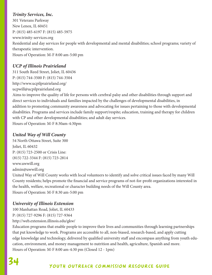# *Trinity Services, Inc.*

301 Veterans Parkway New Lenox, IL 60451 P: (815) 485-6197 F: (815) 485-5975 www.trinity-services.org Residential and day services for people with developmental and mental disabilities; school programs; variety of therapeutic intervention. Hours of Operation: M-F 8:00 am-5:00 pm

# *UCP of Illinois Prairieland*

311 South Reed Street, Joliet, IL 60436 P: (815) 744-3500 F: (815) 744-3504 http://www.ucpilprairieland.org/ ucpwill@ucpilprairieland.org

Aims to improve the quality of life for persons with cerebral palsy and other disabilities through support and direct services to individuals and families impacted by the challenges of developmental disabilities, in addition to promoting community awareness and advocating for issues pertaining to those with developmental disabilities. Programs and services include family support/respite; education, training and therapy for children with CP and other developmental disabilities; and adult day services. Hours of Operation: M-F 8:30am-4:30pm

# *United Way of Will County*

54 North Ottawa Street, Suite 300 Joliet, IL 60432 P: (815) 723-2500 or Crisis Line: (815) 722-3344 F: (815) 723-2814 www.uwwill.org admin@uwwill.org

United Way of Will County works with local volunteers to identify and solve critical issues faced by many Will County residents; helps promote the financial and service programs of not-for-profit organizations interested in the health, welfare, recreational or character building needs of the Will County area. Hours of Operation: M-F 8:30 am-5:00 pm

# *University of Illinois Extension*

100 Manhattan Road, Joliet, IL 60433 P: (815) 727-9296 F: (815) 727-9364 http://web.extension.illinois.edu/gkw/

Education programs that enable people to improve their lives and communities through learning partnerships that put knowledge to work. Programs are accessible to all, non-biased, research-based, and apply cutting edge knowledge and technology, delivered by qualified university staff and encompass anything from youth education, environment, and money management to nutrition and health, agriculture, Spanish and more. Hours of Operation: M-F 8:00 am-4:30 pm (Closed 12 - 1pm)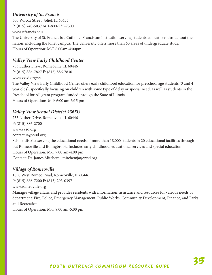# *University of St. Francis*

500 Wilcox Street, Joliet, IL 60435 P: (815) 740-5037 or 1-800-735-7500 www.stfrancis.edu

The University of St. Francis is a Catholic, Franciscan institution serving students at locations throughout the nation, including the Joliet campus. The University offers more than 60 areas of undergraduate study. Hours of Operation: M-F 8:00am-4:00pm

# *Valley View Early Childhood Center*

753 Luther Drive, Romeoville, IL 60446 P: (815) 886-7827 F: (815) 886-7830 www.vvsd.org/vv The Valley View Early Childhood Center offers early childhood education for preschool age students (3 and 4 year olds), specifically focusing on children with some type of delay or special need, as well as students in the Preschool for All grant program funded through the State of Illinois. Hours of Operation: M-F 6:00 am-3:15 pm

# *Valley View School District #365U*

755 Luther Drive, Romeoville, IL 60446 P: (815) 886-2700 www.vvsd.org contactus@vvsd.org School district serving the educational needs of more than 18,000 students in 20 educational facilities throughout Romeoville and Bolingbrook. Includes early childhood, educational services and special education. Hours of Operation: M-F 7:00 am-4:00 pm Contact: Dr. James Mitchem , mitchemja@vvsd.org

# *Village of Romeoville*

1050 West Romeo Road, Romeoville, IL 60446 P: (815) 886-7200 F: (815) 293-0397 www.romeoville.org Manages village affairs and provides residents with information, assistance and resources for various needs by department: Fire, Police, Emergency Management, Public Works, Community Development, Finance, and Parks and Recreation.

Hours of Operation: M-F 8:00 am-5:00 pm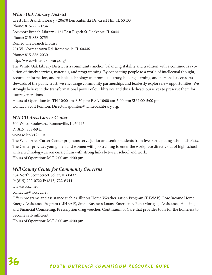# *White Oak Library District*

Crest Hill Branch Library - 20670 Len Kubinski Dr. Crest Hill, IL 60403 Phone: 815-725-0234 Lockport Branch Library - 121 East Eighth St. Lockport, IL 60441 Phone: 815-838-0755 Romeoville Branch Library 201 W. Normantown Rd. Romeoville, IL 60446 Phone: 815-886-2030 http://www.whiteoaklibrary.org/ The White Oak Library District is a community anchor, balancing stability and tradition with a continuous evolution of timely services, materials, and programming. By connecting people to a world of intellectual thought, accurate information, and reliable technology we promote literacy, lifelong learning, and personal success. As stewards of the public trust, we encourage community partnerships and fearlessly explore new opportunities. We strongly believe in the transformational power of our libraries and thus dedicate ourselves to preserve them for future generations

Hours of Operation: M-TH 10:00 am-8:30 pm; F-SA 10:00 am-5:00 pm; SU 1:00-5:00 pm Contact: Scott Pointon, Director, spointon@whiteoaklibrary.org;

# *WILCO Area Career Center*

500 Wilco Boulevard, Romeoville, IL 60446 P: (815) 838-6941 www.wilco.k12.il.us

The Wilco Area Career Center programs serve junior and senior students from five participating school districts. The Center provides young men and women with job training to enter the workplace directly out of high school with a technology-driven curriculum with strong links between school and work. Hours of Operation: M-F 7:00 am-4:00 pm

# *Will County Center for Community Concerns*

304 North Scott Street, Joliet, IL 60432 P: (815) 722-0722 F: (815) 722-6344 www.wcccc.net contactus@wcccc.net

Offers programs and assistance such as: Illinois Home Weatherization Program (IHWAP), Low Income Home Energy Assistance Program (LIHEAP), Small Business Loans, Emergency Rent/Mortgage Assistance, Housing and Financial Counseling, Prescription drug voucher, Continuum of Care that provides tools for the homeless to become self-sufficient.

Hours of Operation: M-F 8:00 am-4:00 pm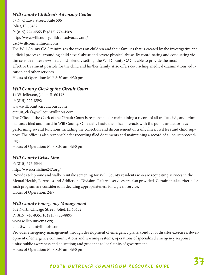# *Will County Children's Advocacy Center*

57 N. Ottawa Street, Suite 506 Joliet, IL 60432 P: (815) 774-4565 F: (815) 774-4569 http://www.willcountychildrensadvocacy.org/ cac@willcountyillinois.com The Will County CAC minimizes the stress on children and their families that is created by the investigative and judicial process surrounding child sexual abuse and severe physical abuse. By coordinating and conducting victim sensitive interviews in a child-friendly setting, the Will County CAC is able to provide the most effective treatment possible for the child and his/her family. Also offers counseling, medical examinations, education and other services. Hours of Operation: M-F 8:30 am-4:30 pm

*Will County Clerk of the Circuit Court*

14 W. Jefferson, Joliet, IL 60432 P: (815) 727-8592 www.willcountycircuitcourt.com circuit\_clerk@willcountyillinois.com

The Office of the Clerk of the Circuit Court is responsible for maintaining a record of all traffic, civil, and criminal cases filed and heard in Will County. On a daily basis, the office interacts with the public and attorneys performing several functions including the collection and disbursement of traffic fines, civil fees and child support. The office is also responsible for recording filed documents and maintaining a record of all court proceedings.

Hours of Operation: M-F 8:30 am-4:30 pm

# *Will County Crisis Line*

P: (815) 727-3344 http://www.crisisline247.org/

Provides telephone and walk-in intake screening for Will County residents who are requesting services in the Mental Health, Forensics and Addictions Division. Referral services are also provided. Certain intake criteria for each program are considered in deciding appropriateness for a given service. Hours of Operation: 24/7

# *Will County Emergency Management*

302 North Chicago Street, Joliet, IL 60432 P: (815) 740-8351 F: (815) 723-8895 www.willcountyema.org ema@willcountyillinois.com

Provides emergency management through development of emergency plans; conduct of disaster exercises; development of emergency communications and warning systems; operations of specialized emergency response units; public awareness and education; and guidance to local units of government.

Hours of Operation: M-F 8:30 am-4:30 pm

# 37 Youth outreach commission resource guide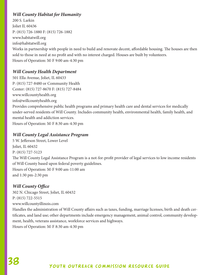# *Will County Habitat for Humanity*

200 S. Larkin Joliet IL 60436 P: (815) 726-1880 F: (815) 726-1882 www.habitatwill.org info@habitatwill.org Works in partnership with people in need to build and renovate decent, affordable housing. The houses are then sold to those in need at no profit and with no interest charged. Houses are built by volunteers. Hours of Operation: M-F 9:00 am-4:30 pm

# *Will County Health Department*

501 Ella Avenue, Joliet, IL 60433 P: (815) 727-8480 or Community Health Center: (815) 727-8670 F: (815) 727-8484 www.willcountyhealth.org info@willcountyhealth.org Provides comprehensive public health programs and primary health care and dental services for medically under-served residents of Will County. Includes community health, environmental health, family health, and mental health and addiction services. Hours of Operation: M-F 8:30 am-4:30 pm

#### *Will County Legal Assistance Program*

5 W. Jefferson Street, Lower Level Joliet, IL 60432 P: (815) 727-5123 The Will County Legal Assistance Program is a not-for-profit provider of legal services to low income residents of Will County based upon federal poverty guidelines. Hours of Operation: M-F 9:00 am-11:00 am and 1:30 pm-2:30 pm

# *Will County Office*

302 N. Chicago Street, Joliet, IL 60432 P: (815) 722-5515 www.willcountyillinois.com Handles the administration of Will County affairs such as taxes, funding, marriage licenses, birth and death certificates, and land use; other departments include emergency management, animal control, community development, health, veterans assistance, workforce services and highways. Hours of Operation: M-F 8:30 am-4:30 pm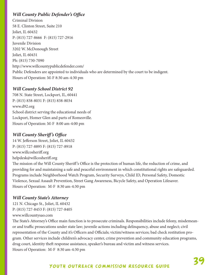# *Will County Public Defender's Office*

Criminal Division 58 E. Clinton Street, Suite 210 Joliet, IL 60432 P: (815) 727-8666 F: (815) 727-2916 Juvenile Division 3202 W. McDonough Street Joliet, IL 60431 Ph: (815) 730-7090 http://www.willcountypublicdefender.com/ Public Defenders are appointed to individuals who are determined by the court to be indigent. Hours of Operation: M-F 8:30 am-4:30 pm

# *Will County School District 92*

708 N. State Street, Lockport, IL, 60441 P: (815) 838-8031 F: (815) 838-8034 www.d92.org School district serving the educational needs of Lockport, Homer Glen and parts of Romeoville. Hours of Operation: M-F 8:00 am-4:00 pm

# *Will County Sheriff 's Office*

14 W. Jefferson Street, Joliet, IL 60432 P: (815) 727-8895 F: (815) 727-8918 www.willcosheriff.org helpdesk@willcosheriff.org

The mission of the Will County Sheriff 's Office is the protection of human life, the reduction of crime, and providing for and maintaining a safe and peaceful environment in which constitutional rights are safeguarded. Programs include Neighborhood Watch Program, Security Surveys, Child ID, Personal Safety, Domestic Violence, Sexual Assault Prevention, Street Gang Awareness, Bicycle Safety, and Operation Lifesaver. Hours of Operation: M-F 8:30 am-4:30 pm

# *Will County State's Attorney*

121 N. Chicago St., Joliet, IL 60432 P: (815) 727-8453 F: (815) 727-8405 www.willcountysao.com

The State's Attorney's Office main function is to prosecute criminals. Responsibilities include felony, misdemeanor and traffic prosecutions under state law; juvenile actions including delinquency, abuse and neglect; civil representation of the County and it's Officers and Officials; victim/witness services; bad check restitution program. Other services include children's advocacy center, crime prevention and community education programs, drug court, identity theft response assistance, speaker's bureau and victim and witness services. Hours of Operation: M-F 8:30 am-4:30 pm